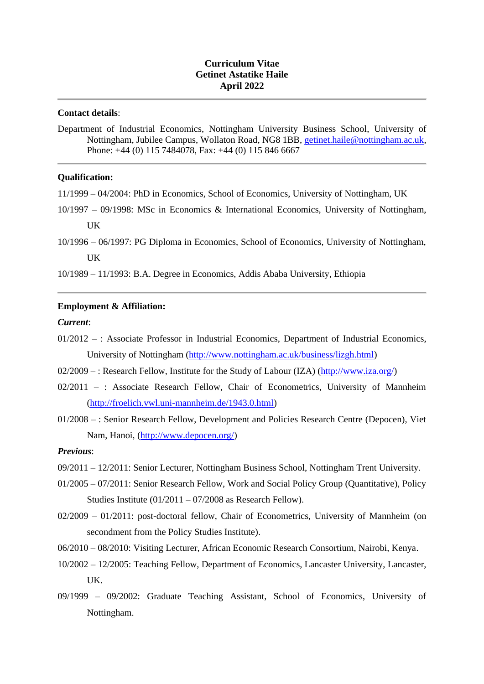# **Curriculum Vitae Getinet Astatike Haile April 2022**

# **Contact details**:

Department of Industrial Economics, Nottingham University Business School, University of Nottingham, Jubilee Campus, Wollaton Road, NG8 1BB, [getinet.haile@nottingham.ac.uk,](mailto:getinet.haile@nottingham.ac.uk) Phone: +44 (0) 115 7484078, Fax: +44 (0) 115 846 6667

### **Qualification:**

- 11/1999 04/2004: PhD in Economics, School of Economics, University of Nottingham, UK
- 10/1997 09/1998: MSc in Economics & International Economics, University of Nottingham, UK
- 10/1996 06/1997: PG Diploma in Economics, School of Economics, University of Nottingham, UK

10/1989 – 11/1993: B.A. Degree in Economics, Addis Ababa University, Ethiopia

# **Employment & Affiliation:**

#### *Current*:

- 01/2012 : Associate Professor in Industrial Economics, Department of Industrial Economics, University of Nottingham [\(http://www.nottingham.ac.uk/business/lizgh.html\)](http://www.nottingham.ac.uk/business/lizgh.html)
- 02/2009 : Research Fellow, Institute for the Study of Labour (IZA) [\(http://www.iza.org/\)](http://www.iza.org/)
- 02/2011 : Associate Research Fellow, Chair of Econometrics, University of Mannheim [\(http://froelich.vwl.uni-mannheim.de/1943.0.html\)](http://froelich.vwl.uni-mannheim.de/1943.0.html)
- 01/2008 : Senior Research Fellow, Development and Policies Research Centre (Depocen), Viet Nam, Hanoi, [\(http://www.depocen.org/\)](http://www.depocen.org/)

# *Previous*:

- 09/2011 12/2011: Senior Lecturer, Nottingham Business School, Nottingham Trent University.
- 01/2005 07/2011: Senior Research Fellow, Work and Social Policy Group (Quantitative), Policy Studies Institute (01/2011 – 07/2008 as Research Fellow).
- 02/2009 01/2011: post-doctoral fellow, Chair of Econometrics, University of Mannheim (on secondment from the Policy Studies Institute).
- 06/2010 08/2010: Visiting Lecturer, African Economic Research Consortium, Nairobi, Kenya.
- 10/2002 12/2005: Teaching Fellow, Department of Economics, Lancaster University, Lancaster, UK.
- 09/1999 09/2002: Graduate Teaching Assistant, School of Economics, University of Nottingham.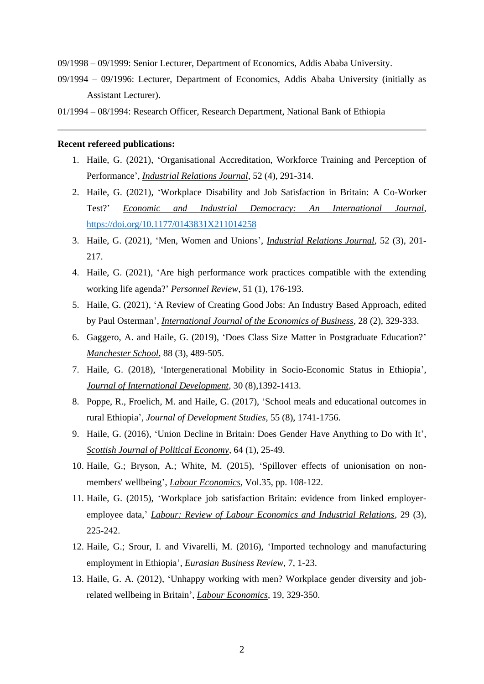09/1998 – 09/1999: Senior Lecturer, Department of Economics, Addis Ababa University.

- 09/1994 09/1996: Lecturer, Department of Economics, Addis Ababa University (initially as Assistant Lecturer).
- 01/1994 08/1994: Research Officer, Research Department, National Bank of Ethiopia

#### **Recent refereed publications:**

- 1. Haile, G. (2021), 'Organisational Accreditation, Workforce Training and Perception of Performance', *Industrial Relations Journal*, 52 (4), 291-314.
- 2. Haile, G. (2021), 'Workplace Disability and Job Satisfaction in Britain: A Co-Worker Test?' *Economic and Industrial Democracy: An International Journal*, [https://doi.org/10.1177/0143831X211014258](https://doi.org/10.1177%2F0143831X211014258)
- 3. Haile, G. (2021), 'Men, Women and Unions', *Industrial Relations Journal*, 52 (3), 201- 217.
- 4. Haile, G. (2021), 'Are high performance work practices compatible with the extending working life agenda?' *Personnel Review*, 51 (1), 176-193.
- 5. Haile, G. (2021), 'A Review of Creating Good Jobs: An Industry Based Approach, edited by Paul Osterman', *International Journal of the Economics of Business*, 28 (2), 329-333.
- 6. Gaggero, A. and Haile, G. (2019), 'Does Class Size Matter in Postgraduate Education?' *Manchester School*, 88 (3), 489-505.
- 7. Haile, G. (2018), 'Intergenerational Mobility in Socio-Economic Status in Ethiopia', *Journal of International Development*, 30 (8),1392-1413.
- 8. Poppe, R., Froelich, M. and Haile, G. (2017), 'School meals and educational outcomes in rural Ethiopia', *Journal of Development Studies*, 55 (8), 1741-1756.
- 9. Haile, G. (2016), 'Union Decline in Britain: Does Gender Have Anything to Do with It', *Scottish Journal of Political Economy*, 64 (1), 25-49.
- 10. Haile, G.; Bryson, A.; White, M. (2015), 'Spillover effects of unionisation on nonmembers' wellbeing', *Labour Economics*, Vol.35, pp. 108-122.
- 11. Haile, G. (2015), 'Workplace job satisfaction Britain: evidence from linked employeremployee data,' *Labour: Review of Labour Economics and Industrial Relations*, 29 (3), 225-242.
- 12. Haile, G.; Srour, I. and Vivarelli, M. (2016), 'Imported technology and manufacturing employment in Ethiopia', *Eurasian Business Review*, 7, 1-23.
- 13. Haile, G. A. (2012), 'Unhappy working with men? Workplace gender diversity and jobrelated wellbeing in Britain', *Labour Economics*, 19, 329-350.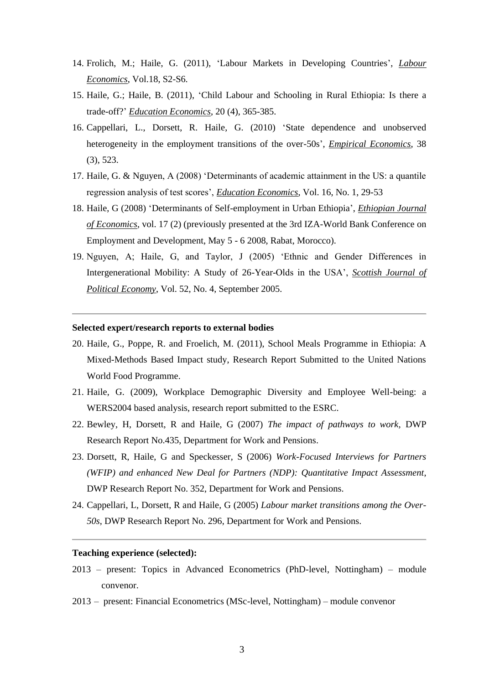- 14. Frolich, M.; Haile, G. (2011), 'Labour Markets in Developing Countries', *Labour Economics*, Vol.18, S2-S6.
- 15. Haile, G.; Haile, B. (2011), 'Child Labour and Schooling in Rural Ethiopia: Is there a trade-off?' *Education Economics*, 20 (4), 365-385.
- 16. Cappellari, L., Dorsett, R. Haile, G. (2010) 'State dependence and unobserved heterogeneity in the employment transitions of the over-50s', *Empirical Economics*, 38 (3), 523.
- 17. Haile, G. & Nguyen, A (2008) 'Determinants of academic attainment in the US: a quantile regression analysis of test scores', *Education Economics*, Vol. 16, No. 1, 29-53
- 18. Haile, G (2008) 'Determinants of Self-employment in Urban Ethiopia', *Ethiopian Journal of Economics*, vol. 17 (2) (previously presented at the 3rd IZA-World Bank Conference on Employment and Development, May 5 - 6 2008, Rabat, Morocco).
- 19. Nguyen, A; Haile, G, and Taylor, J (2005) 'Ethnic and Gender Differences in Intergenerational Mobility: A Study of 26-Year-Olds in the USA', *Scottish Journal of Political Economy*, Vol. 52, No. 4, September 2005.

#### **Selected expert/research reports to external bodies**

- 20. Haile, G., Poppe, R. and Froelich, M. (2011), School Meals Programme in Ethiopia: A Mixed-Methods Based Impact study, Research Report Submitted to the United Nations World Food Programme.
- 21. Haile, G. (2009), Workplace Demographic Diversity and Employee Well-being: a WERS2004 based analysis, research report submitted to the ESRC.
- 22. Bewley, H, Dorsett, R and Haile, G (2007) *The impact of pathways to work,* DWP Research Report No.435, Department for Work and Pensions.
- 23. Dorsett, R, Haile, G and Speckesser, S (2006) *Work-Focused Interviews for Partners (WFIP) and enhanced New Deal for Partners (NDP): Quantitative Impact Assessment*, DWP Research Report No. 352, Department for Work and Pensions.
- 24. Cappellari, L, Dorsett, R and Haile, G (2005) *Labour market transitions among the Over-50s*, DWP Research Report No. 296, Department for Work and Pensions.

## **Teaching experience (selected):**

- 2013 present: Topics in Advanced Econometrics (PhD-level, Nottingham) module convenor.
- 2013 present: Financial Econometrics (MSc-level, Nottingham) module convenor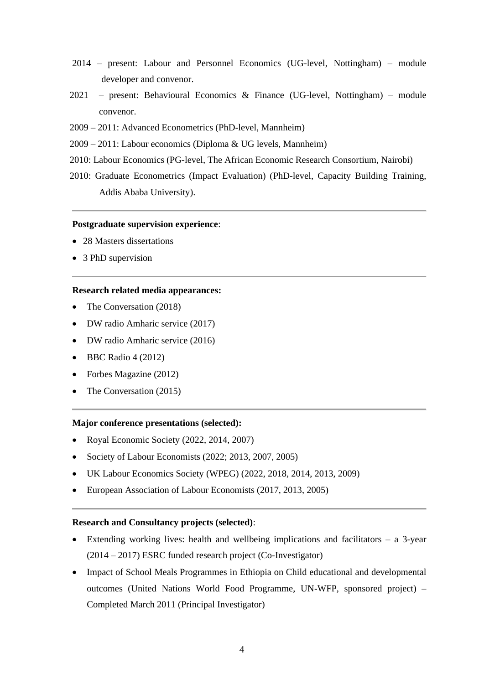- 2014 present: Labour and Personnel Economics (UG-level, Nottingham) module developer and convenor.
- 2021 present: Behavioural Economics & Finance (UG-level, Nottingham) module convenor.
- 2009 2011: Advanced Econometrics (PhD-level, Mannheim)
- 2009 2011: Labour economics (Diploma & UG levels, Mannheim)
- 2010: Labour Economics (PG-level, The African Economic Research Consortium, Nairobi)
- 2010: Graduate Econometrics (Impact Evaluation) (PhD-level, Capacity Building Training, Addis Ababa University).

### **Postgraduate supervision experience**:

- 28 Masters dissertations
- 3 PhD supervision

# **Research related media appearances:**

- The Conversation (2018)
- DW radio Amharic service (2017)
- DW radio Amharic service (2016)
- BBC Radio 4 (2012)
- Forbes Magazine (2012)
- The Conversation (2015)

## **Major conference presentations (selected):**

- Royal Economic Society (2022, 2014, 2007)
- Society of Labour Economists (2022; 2013, 2007, 2005)
- UK Labour Economics Society (WPEG) (2022, 2018, 2014, 2013, 2009)
- European Association of Labour Economists (2017, 2013, 2005)

# **Research and Consultancy projects (selected)**:

- Extending working lives: health and wellbeing implications and facilitators a 3-year (2014 – 2017) ESRC funded research project (Co-Investigator)
- Impact of School Meals Programmes in Ethiopia on Child educational and developmental outcomes (United Nations World Food Programme, UN-WFP, sponsored project) – Completed March 2011 (Principal Investigator)